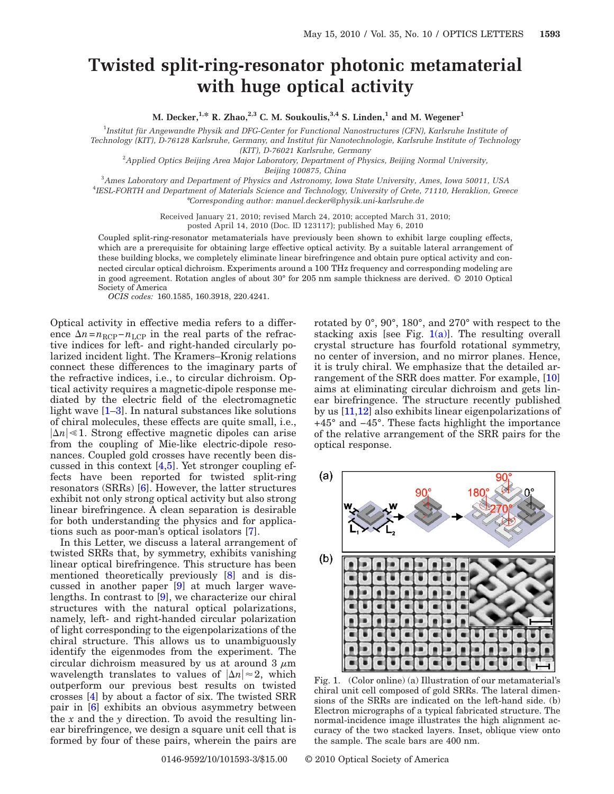## **Twisted split-ring-resonator photonic metamaterial with huge optical activity**

**M. Decker,**<sup>1,\*</sup> **R. Zhao**,<sup>2,3</sup> C. M. Soukoulis,<sup>3,4</sup> S. Linden,<sup>1</sup> and M. Wegener<sup>1</sup>

1 *Institut für Angewandte Physik and DFG-Center for Functional Nanostructures (CFN), Karlsruhe Institute of Technology (KIT), D-76128 Karlsruhe, Germany, and Institut für Nanotechnologie, Karlsruhe Institute of Technology*

*(KIT), D-76021 Karlsruhe, Germany*

2 *Applied Optics Beijing Area Major Laboratory, Department of Physics, Beijing Normal University,*

*Beijing 100875, China*

3 *Ames Laboratory and Department of Physics and Astronomy, Iowa State University, Ames, Iowa 50011, USA* 4 *IESL-FORTH and Department of Materials Science and Technology, University of Crete, 71110, Heraklion, Greece* \**Corresponding author: manuel.decker@physik.uni-karlsruhe.de*

> Received January 21, 2010; revised March 24, 2010; accepted March 31, 2010; posted April 14, 2010 (Doc. ID 123117); published May 6, 2010

Coupled split-ring-resonator metamaterials have previously been shown to exhibit large coupling effects, which are a prerequisite for obtaining large effective optical activity. By a suitable lateral arrangement of these building blocks, we completely eliminate linear birefringence and obtain pure optical activity and connected circular optical dichroism. Experiments around a 100 THz frequency and corresponding modeling are in good agreement. Rotation angles of about 30° for 205 nm sample thickness are derived. © 2010 Optical Society of America

*OCIS codes:* 160.1585, 160.3918, 220.4241.

Optical activity in effective media refers to a difference  $\Delta n = n_{\text{RCP}} - n_{\text{LCP}}$  in the real parts of the refractive indices for left- and right-handed circularly polarized incident light. The Kramers–Kronig relations connect these differences to the imaginary parts of the refractive indices, i.e., to circular dichroism. Optical activity requires a magnetic-dipole response mediated by the electric field of the electromagnetic light wave [\[1](#page-2-0)[–3\]](#page-2-1). In natural substances like solutions of chiral molecules, these effects are quite small, i.e.,  $|\Delta n| \leq 1$ . Strong effective magnetic dipoles can arise from the coupling of Mie-like electric-dipole resonances. Coupled gold crosses have recently been discussed in this context [\[4](#page-2-2)[,5\]](#page-2-3). Yet stronger coupling effects have been reported for twisted split-ring resonators (SRRs) [\[6\]](#page-2-4). However, the latter structures exhibit not only strong optical activity but also strong linear birefringence. A clean separation is desirable for both understanding the physics and for applications such as poor-man's optical isolators [\[7\]](#page-2-5).

In this Letter, we discuss a lateral arrangement of twisted SRRs that, by symmetry, exhibits vanishing linear optical birefringence. This structure has been mentioned theoretically previously [\[8\]](#page-2-6) and is discussed in another paper [\[9\]](#page-2-7) at much larger wavelengths. In contrast to [\[9\]](#page-2-7), we characterize our chiral structures with the natural optical polarizations, namely, left- and right-handed circular polarization of light corresponding to the eigenpolarizations of the chiral structure. This allows us to unambiguously identify the eigenmodes from the experiment. The circular dichroism measured by us at around 3  $\mu$ m wavelength translates to values of  $|\Delta n| \approx 2$ , which outperform our previous best results on twisted crosses [\[4\]](#page-2-2) by about a factor of six. The twisted SRR pair in [\[6\]](#page-2-4) exhibits an obvious asymmetry between the *x* and the *y* direction. To avoid the resulting linear birefringence, we design a square unit cell that is formed by four of these pairs, wherein the pairs are

rotated by 0°, 90°, 180°, and 270° with respect to the stacking axis [see Fig.  $1(a)$ ]. The resulting overall crystal structure has fourfold rotational symmetry, no center of inversion, and no mirror planes. Hence, it is truly chiral. We emphasize that the detailed arrangement of the SRR does matter. For example, [\[10\]](#page-2-8) aims at eliminating circular dichroism and gets linear birefringence. The structure recently published by us [\[11,](#page-2-9)[12\]](#page-2-10) also exhibits linear eigenpolarizations of +45° and −45°. These facts highlight the importance of the relative arrangement of the SRR pairs for the optical response.

<span id="page-0-0"></span>

Fig. 1. (Color online) (a) Illustration of our metamaterial's chiral unit cell composed of gold SRRs. The lateral dimensions of the SRRs are indicated on the left-hand side. (b) Electron micrographs of a typical fabricated structure. The normal-incidence image illustrates the high alignment accuracy of the two stacked layers. Inset, oblique view onto the sample. The scale bars are 400 nm.

0146-9592/10/101593-3/\$15.00 © 2010 Optical Society of America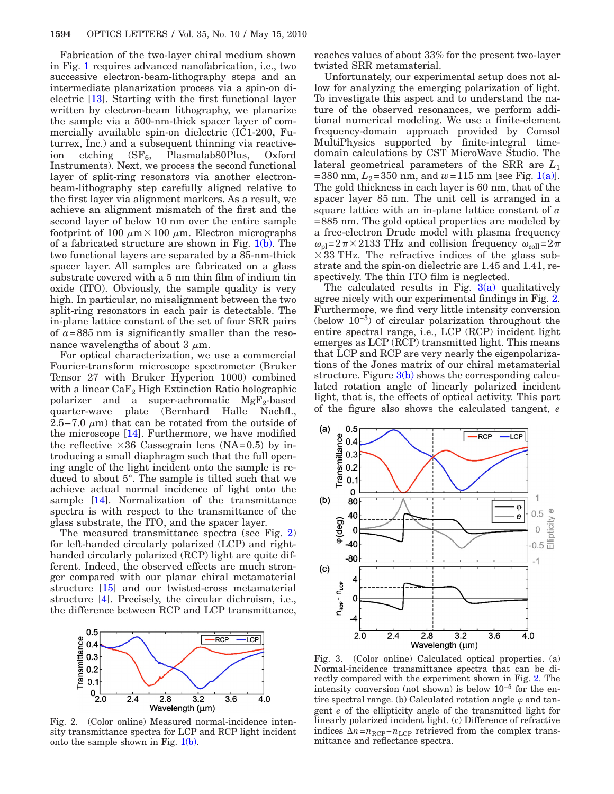Fabrication of the two-layer chiral medium shown in Fig. [1](#page-0-0) requires advanced nanofabrication, i.e., two successive electron-beam-lithography steps and an intermediate planarization process via a spin-on dielectric [\[13\]](#page-2-11). Starting with the first functional layer written by electron-beam lithography, we planarize the sample via a 500-nm-thick spacer layer of commercially available spin-on dielectric (IC1-200, Futurrex, Inc.) and a subsequent thinning via reactiveion etching  $(SF_6,$  Plasmalab80Plus, Oxford Instruments). Next, we process the second functional layer of split-ring resonators via another electronbeam-lithography step carefully aligned relative to the first layer via alignment markers. As a result, we achieve an alignment mismatch of the first and the second layer of below 10 nm over the entire sample footprint of 100  $\mu$ m × 100  $\mu$ m. Electron micrographs of a fabricated structure are shown in Fig.  $1(b)$ . The two functional layers are separated by a 85-nm-thick spacer layer. All samples are fabricated on a glass substrate covered with a 5 nm thin film of indium tin oxide (ITO). Obviously, the sample quality is very high. In particular, no misalignment between the two split-ring resonators in each pair is detectable. The in-plane lattice constant of the set of four SRR pairs of  $a = 885$  nm is significantly smaller than the resonance wavelengths of about 3  $\mu$ m.

For optical characterization, we use a commercial Fourier-transform microscope spectrometer (Bruker Tensor 27 with Bruker Hyperion 1000) combined with a linear  $\text{CaF}_2$  High Extinction Ratio holographic polarizer and a super-achromatic  $MgF_2$ -based quarter-wave plate (Bernhard Halle Nachfl., 2.5–7.0  $\mu$ m) that can be rotated from the outside of the microscope [\[14\]](#page-2-12). Furthermore, we have modified the reflective  $\times 36$  Cassegrain lens (NA=0.5) by introducing a small diaphragm such that the full opening angle of the light incident onto the sample is reduced to about 5°. The sample is tilted such that we achieve actual normal incidence of light onto the sample [\[14\]](#page-2-12). Normalization of the transmittance spectra is with respect to the transmittance of the glass substrate, the ITO, and the spacer layer.

The measured transmittance spectra (see Fig. [2\)](#page-1-0) for left-handed circularly polarized (LCP) and righthanded circularly polarized (RCP) light are quite different. Indeed, the observed effects are much stronger compared with our planar chiral metamaterial structure [\[15\]](#page-2-13) and our twisted-cross metamaterial structure [\[4\]](#page-2-2). Precisely, the circular dichroism, i.e., the difference between RCP and LCP transmittance,

<span id="page-1-0"></span>

Fig. 2. (Color online) Measured normal-incidence intensity transmittance spectra for LCP and RCP light incident onto the sample shown in Fig.  $1(b)$ .

reaches values of about 33% for the present two-layer twisted SRR metamaterial.

Unfortunately, our experimental setup does not allow for analyzing the emerging polarization of light. To investigate this aspect and to understand the nature of the observed resonances, we perform additional numerical modeling. We use a finite-element frequency-domain approach provided by Comsol MultiPhysics supported by finite-integral timedomain calculations by CST MicroWave Studio. The lateral geometrical parameters of the SRR are *L*<sup>1</sup> =380 nm,  $L_2$ =350 nm, and  $w$ =115 nm [see Fig. [1\(a\)\]](#page-0-0). The gold thickness in each layer is 60 nm, that of the spacer layer 85 nm. The unit cell is arranged in a square lattice with an in-plane lattice constant of *a* =885 nm. The gold optical properties are modeled by a free-electron Drude model with plasma frequency  $\omega_{\text{pl}}=2\pi\times2133$  THz and collision frequency  $\omega_{\text{coll}}=2\pi$  $\times$  33 THz. The refractive indices of the glass substrate and the spin-on dielectric are 1.45 and 1.41, respectively. The thin ITO film is neglected.

The calculated results in Fig.  $3(a)$  qualitatively agree nicely with our experimental findings in Fig. [2.](#page-1-0) Furthermore, we find very little intensity conversion (below 10−5) of circular polarization throughout the entire spectral range, i.e., LCP (RCP) incident light emerges as LCP (RCP) transmitted light. This means that LCP and RCP are very nearly the eigenpolarizations of the Jones matrix of our chiral metamaterial structure. Figure  $3(b)$  shows the corresponding calculated rotation angle of linearly polarized incident light, that is, the effects of optical activity. This part of the figure also shows the calculated tangent, *e*

<span id="page-1-1"></span>

Fig. 3. (Color online) Calculated optical properties. (a) Normal-incidence transmittance spectra that can be directly compared with the experiment shown in Fig. [2.](#page-1-0) The intensity conversion (not shown) is below 10−5 for the entire spectral range. (b) Calculated rotation angle  $\varphi$  and tangent *e* of the ellipticity angle of the transmitted light for linearly polarized incident light. (c) Difference of refractive indices  $\Delta n = n_{\text{RCP}} - n_{\text{LCP}}$  retrieved from the complex transmittance and reflectance spectra.